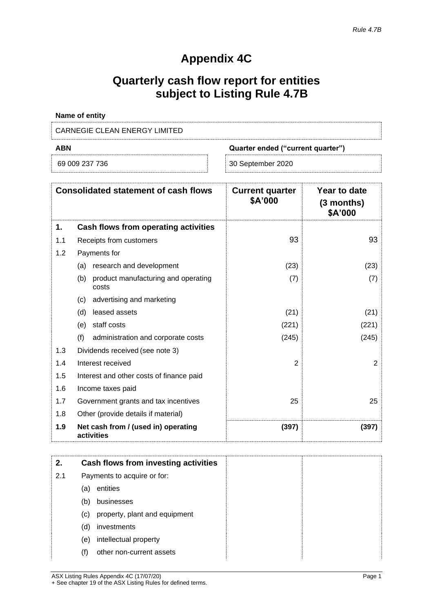# **Appendix 4C**

# **Quarterly cash flow report for entities subject to Listing Rule 4.7B**

| Name of entity                |                                   |
|-------------------------------|-----------------------------------|
| CARNEGIE CLEAN ENERGY LIMITED |                                   |
| <b>ABN</b>                    | Quarter ended ("current quarter") |
|                               |                                   |

| 69 009 237 736 |  |
|----------------|--|
|----------------|--|

| 30 September 2020 |  |
|-------------------|--|
|                   |  |

| <b>Consolidated statement of cash flows</b> |                                                     | <b>Current quarter</b><br>\$A'000 | Year to date<br>$(3$ months)<br>\$A'000 |
|---------------------------------------------|-----------------------------------------------------|-----------------------------------|-----------------------------------------|
| 1.                                          | Cash flows from operating activities                |                                   |                                         |
| 1.1                                         | Receipts from customers                             | 93                                | 93                                      |
| 1.2                                         | Payments for                                        |                                   |                                         |
|                                             | research and development<br>(a)                     | (23)                              | (23)                                    |
|                                             | (b)<br>product manufacturing and operating<br>costs | (7)                               | (7)                                     |
|                                             | advertising and marketing<br>(c)                    |                                   |                                         |
|                                             | leased assets<br>(d)                                | (21)                              | (21)                                    |
|                                             | staff costs<br>(e)                                  | (221)                             | (221)                                   |
|                                             | (f)<br>administration and corporate costs           | (245)                             | (245)                                   |
| 1.3                                         | Dividends received (see note 3)                     |                                   |                                         |
| 1.4                                         | Interest received                                   | $\overline{2}$                    | $\overline{2}$                          |
| 1.5                                         | Interest and other costs of finance paid            |                                   |                                         |
| 1.6                                         | Income taxes paid                                   |                                   |                                         |
| 1.7                                         | Government grants and tax incentives                | 25                                | 25                                      |
| 1.8                                         | Other (provide details if material)                 |                                   |                                         |
| 1.9                                         | Net cash from / (used in) operating<br>activities   | (397)                             | (397)                                   |

| 2.  |     | Cash flows from investing activities |
|-----|-----|--------------------------------------|
| 2.1 |     | Payments to acquire or for:          |
|     | (a) | entities                             |
|     | (b) | businesses                           |
|     | (c) | property, plant and equipment        |
|     | (d) | investments                          |
|     | (e) | intellectual property                |
|     | (f) | other non-current assets             |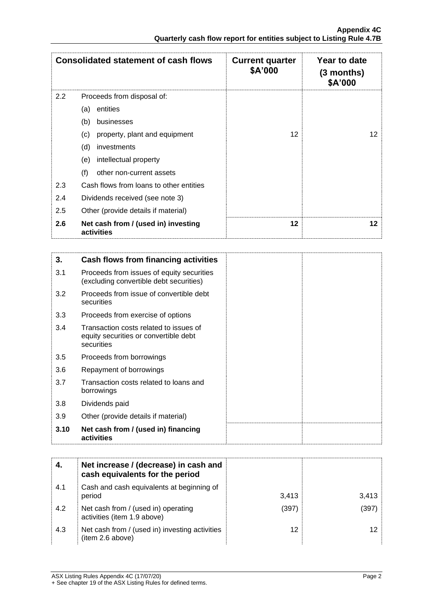|     | <b>Consolidated statement of cash flows</b>       | <b>Current quarter</b><br>\$A'000 | Year to date<br>$(3$ months)<br>\$A'000 |
|-----|---------------------------------------------------|-----------------------------------|-----------------------------------------|
| 2.2 | Proceeds from disposal of:                        |                                   |                                         |
|     | entities<br>(a)                                   |                                   |                                         |
|     | (b)<br>businesses                                 |                                   |                                         |
|     | (c)<br>property, plant and equipment              | 12                                | 12                                      |
|     | (d)<br>investments                                |                                   |                                         |
|     | intellectual property<br>(e)                      |                                   |                                         |
|     | (f)<br>other non-current assets                   |                                   |                                         |
| 2.3 | Cash flows from loans to other entities           |                                   |                                         |
| 2.4 | Dividends received (see note 3)                   |                                   |                                         |
| 2.5 | Other (provide details if material)               |                                   |                                         |
| 2.6 | Net cash from / (used in) investing<br>activities | 12                                | 12                                      |

| 3.   | Cash flows from financing activities                                                          |  |
|------|-----------------------------------------------------------------------------------------------|--|
| 3.1  | Proceeds from issues of equity securities<br>(excluding convertible debt securities)          |  |
| 3.2  | Proceeds from issue of convertible debt<br>securities                                         |  |
| 3.3  | Proceeds from exercise of options                                                             |  |
| 3.4  | Transaction costs related to issues of<br>equity securities or convertible debt<br>securities |  |
| 3.5  | Proceeds from borrowings                                                                      |  |
| 3.6  | Repayment of borrowings                                                                       |  |
| 3.7  | Transaction costs related to loans and<br>borrowings                                          |  |
| 3.8  | Dividends paid                                                                                |  |
| 3.9  | Other (provide details if material)                                                           |  |
| 3.10 | Net cash from / (used in) financing<br>activities                                             |  |

|     | Net increase / (decrease) in cash and<br>cash equivalents for the period |       |        |
|-----|--------------------------------------------------------------------------|-------|--------|
| 4.1 | Cash and cash equivalents at beginning of<br>period                      | 3.413 | 3,413  |
| 4.2 | Net cash from / (used in) operating<br>activities (item 1.9 above)       | (397) | (397). |
| 4.3 | Net cash from / (used in) investing activities<br>(item 2.6 above)       | 12    |        |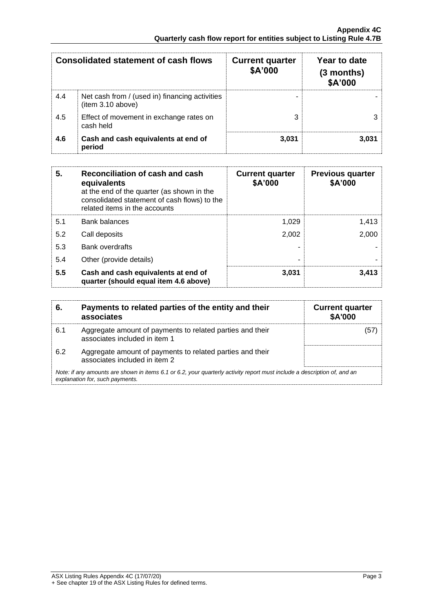| <b>Consolidated statement of cash flows</b> |                                                                     | <b>Current quarter</b><br>\$A'000 | Year to date<br>$(3$ months)<br>\$A'000 |
|---------------------------------------------|---------------------------------------------------------------------|-----------------------------------|-----------------------------------------|
| 4.4                                         | Net cash from / (used in) financing activities<br>(item 3.10 above) |                                   |                                         |
| 4.5                                         | Effect of movement in exchange rates on<br>cash held                |                                   |                                         |
| 4.6                                         | Cash and cash equivalents at end of<br>period                       | 3.031                             | 3.031                                   |

| 5.  | Reconciliation of cash and cash<br>equivalents<br>at the end of the quarter (as shown in the<br>consolidated statement of cash flows) to the<br>related items in the accounts | <b>Current quarter</b><br>\$A'000 | <b>Previous quarter</b><br>\$A'000 |
|-----|-------------------------------------------------------------------------------------------------------------------------------------------------------------------------------|-----------------------------------|------------------------------------|
| 5.1 | <b>Bank balances</b>                                                                                                                                                          | 1,029                             | 1,413                              |
| 5.2 | Call deposits                                                                                                                                                                 | 2,002                             | 2,000                              |
| 5.3 | <b>Bank overdrafts</b>                                                                                                                                                        |                                   |                                    |
| 5.4 | Other (provide details)                                                                                                                                                       | ۰                                 |                                    |
| 5.5 | Cash and cash equivalents at end of<br>quarter (should equal item 4.6 above)                                                                                                  | 3,031                             | 3.413                              |

| 6.  | Payments to related parties of the entity and their<br>associates                                                                                           | <b>Current quarter</b><br>\$A'000 |  |  |
|-----|-------------------------------------------------------------------------------------------------------------------------------------------------------------|-----------------------------------|--|--|
| 6.1 | Aggregate amount of payments to related parties and their<br>associates included in item 1                                                                  | (57                               |  |  |
| 6.2 | Aggregate amount of payments to related parties and their<br>associates included in item 2                                                                  |                                   |  |  |
|     | Note: if any amounts are shown in items 6.1 or 6.2, your quarterly activity report must include a description of, and an<br>explanation for, such payments. |                                   |  |  |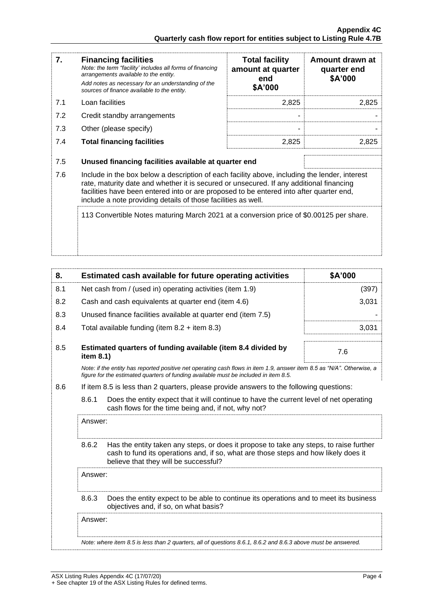| 7.  | <b>Financing facilities</b><br>Note: the term "facility' includes all forms of financing<br>arrangements available to the entity.<br>Add notes as necessary for an understanding of the<br>sources of finance available to the entity.                                                                                                               | <b>Total facility</b><br>amount at quarter<br>end<br>\$A'000 | Amount drawn at<br>quarter end<br>\$A'000 |
|-----|------------------------------------------------------------------------------------------------------------------------------------------------------------------------------------------------------------------------------------------------------------------------------------------------------------------------------------------------------|--------------------------------------------------------------|-------------------------------------------|
| 7.1 | Loan facilities                                                                                                                                                                                                                                                                                                                                      | 2,825                                                        | 2,825                                     |
| 7.2 | Credit standby arrangements                                                                                                                                                                                                                                                                                                                          |                                                              |                                           |
| 7.3 | Other (please specify)                                                                                                                                                                                                                                                                                                                               |                                                              |                                           |
| 7.4 | <b>Total financing facilities</b>                                                                                                                                                                                                                                                                                                                    | 2,825                                                        | 2,825                                     |
| 7.5 | Unused financing facilities available at quarter end                                                                                                                                                                                                                                                                                                 |                                                              |                                           |
| 7.6 | Include in the box below a description of each facility above, including the lender, interest<br>rate, maturity date and whether it is secured or unsecured. If any additional financing<br>facilities have been entered into or are proposed to be entered into after quarter end,<br>include a note providing details of those facilities as well. |                                                              |                                           |
|     | 113 Convertible Notes maturing March 2021 at a conversion price of \$0.00125 per share.                                                                                                                                                                                                                                                              |                                                              |                                           |

| 8.  |                                                                                                                                                                                                                                 | Estimated cash available for future operating activities | \$A'000 |
|-----|---------------------------------------------------------------------------------------------------------------------------------------------------------------------------------------------------------------------------------|----------------------------------------------------------|---------|
| 8.1 | Net cash from / (used in) operating activities (item 1.9)                                                                                                                                                                       |                                                          | (397)   |
| 8.2 | Cash and cash equivalents at quarter end (item 4.6)                                                                                                                                                                             |                                                          | 3,031   |
| 8.3 | Unused finance facilities available at quarter end (item 7.5)                                                                                                                                                                   |                                                          |         |
| 8.4 | Total available funding (item $8.2 +$ item $8.3$ )                                                                                                                                                                              |                                                          | 3,031   |
| 8.5 | Estimated quarters of funding available (item 8.4 divided by<br>item 8.1)                                                                                                                                                       |                                                          | 7.6     |
|     | Note: if the entity has reported positive net operating cash flows in item 1.9, answer item 8.5 as "N/A". Otherwise, a<br>figure for the estimated quarters of funding available must be included in item 8.5.                  |                                                          |         |
| 8.6 | If item 8.5 is less than 2 quarters, please provide answers to the following questions:                                                                                                                                         |                                                          |         |
|     | 8.6.1<br>Does the entity expect that it will continue to have the current level of net operating<br>cash flows for the time being and, if not, why not?                                                                         |                                                          |         |
|     | Answer:                                                                                                                                                                                                                         |                                                          |         |
|     | 8.6.2<br>Has the entity taken any steps, or does it propose to take any steps, to raise further<br>cash to fund its operations and, if so, what are those steps and how likely does it<br>believe that they will be successful? |                                                          |         |
|     | Answer:                                                                                                                                                                                                                         |                                                          |         |
|     | 8.6.3<br>Does the entity expect to be able to continue its operations and to meet its business<br>objectives and, if so, on what basis?                                                                                         |                                                          |         |
|     | Answer:                                                                                                                                                                                                                         |                                                          |         |
|     | Note: where item 8.5 is less than 2 quarters, all of questions 8.6.1, 8.6.2 and 8.6.3 above must be answered.                                                                                                                   |                                                          |         |